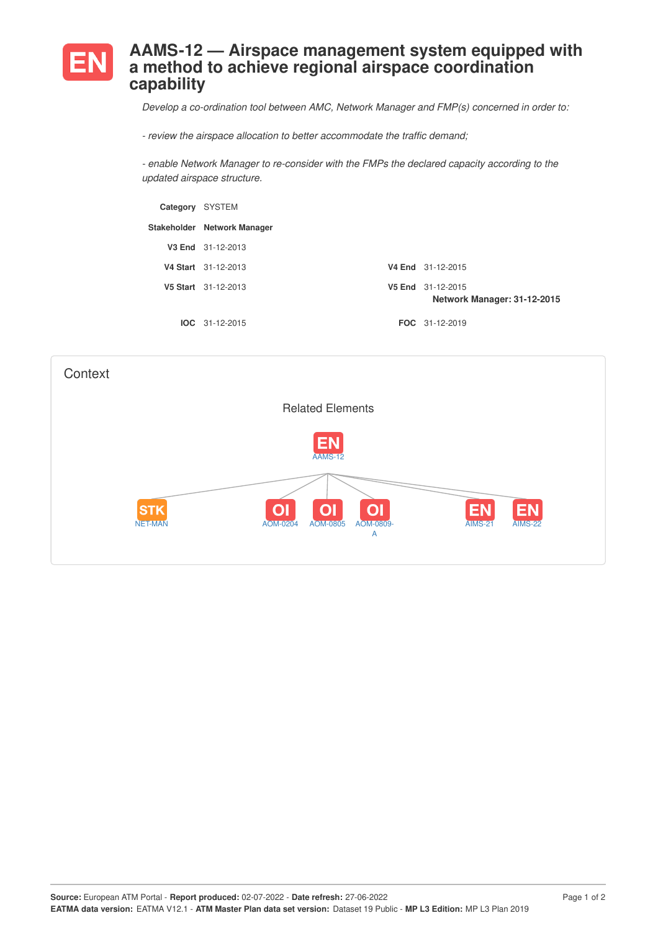

## **AAMS-12 — Airspace management system equipped with a method to achieve regional airspace coordination capability**

*Develop a co-ordination tool between AMC, Network Manager and FMP(s) concerned in order to:*

*- review the airspace allocation to better accommodate the traffic demand;*

*- enable Network Manager to re-consider with the FMPs the declared capacity according to the updated airspace structure.*

| Category SYSTEM |                             |                                                  |
|-----------------|-----------------------------|--------------------------------------------------|
|                 | Stakeholder Network Manager |                                                  |
|                 | V3 End 31-12-2013           |                                                  |
|                 | V4 Start 31-12-2013         | V4 End 31-12-2015                                |
|                 | V5 Start 31-12-2013         | V5 End 31-12-2015<br>Network Manager: 31-12-2015 |
|                 | $IOC 31-12-2015$            | <b>FOC</b> 31-12-2019                            |